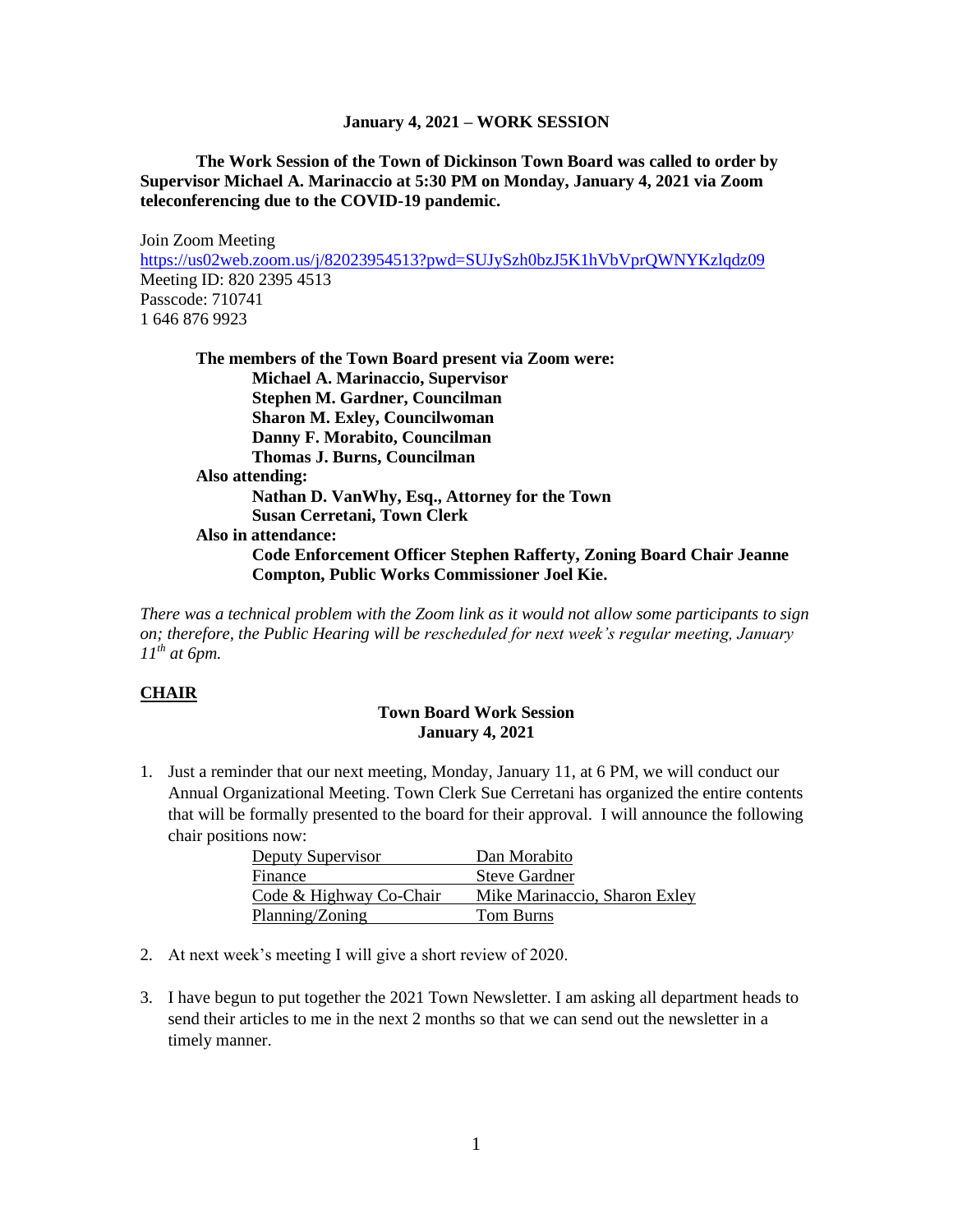#### **January 4, 2021 – WORK SESSION**

# **The Work Session of the Town of Dickinson Town Board was called to order by Supervisor Michael A. Marinaccio at 5:30 PM on Monday, January 4, 2021 via Zoom teleconferencing due to the COVID-19 pandemic.**

Join Zoom Meeting <https://us02web.zoom.us/j/82023954513?pwd=SUJySzh0bzJ5K1hVbVprQWNYKzlqdz09> Meeting ID: 820 2395 4513 Passcode: 710741 1 646 876 9923

| The members of the Town Board present via Zoom were:                                                                               |
|------------------------------------------------------------------------------------------------------------------------------------|
| <b>Michael A. Marinaccio, Supervisor</b>                                                                                           |
| <b>Stephen M. Gardner, Councilman</b>                                                                                              |
| <b>Sharon M. Exley, Councilwoman</b>                                                                                               |
| Danny F. Morabito, Councilman                                                                                                      |
| Thomas J. Burns, Councilman                                                                                                        |
| Also attending:                                                                                                                    |
| Nathan D. VanWhy, Esq., Attorney for the Town                                                                                      |
| <b>Susan Cerretani, Town Clerk</b>                                                                                                 |
| Also in attendance:                                                                                                                |
| <b>Code Enforcement Officer Stephen Rafferty, Zoning Board Chair Jeanne</b><br><b>Compton, Public Works Commissioner Joel Kie.</b> |
|                                                                                                                                    |

*There was a technical problem with the Zoom link as it would not allow some participants to sign on; therefore, the Public Hearing will be rescheduled for next week's regular meeting, January 11th at 6pm.*

## **CHAIR**

# **Town Board Work Session January 4, 2021**

1. Just a reminder that our next meeting, Monday, January 11, at 6 PM, we will conduct our Annual Organizational Meeting. Town Clerk Sue Cerretani has organized the entire contents that will be formally presented to the board for their approval. I will announce the following chair positions now:

| Deputy Supervisor       | Dan Morabito                  |
|-------------------------|-------------------------------|
| Finance                 | <b>Steve Gardner</b>          |
| Code & Highway Co-Chair | Mike Marinaccio, Sharon Exley |
| Planning/Zoning         | Tom Burns                     |

- 2. At next week's meeting I will give a short review of 2020.
- 3. I have begun to put together the 2021 Town Newsletter. I am asking all department heads to send their articles to me in the next 2 months so that we can send out the newsletter in a timely manner.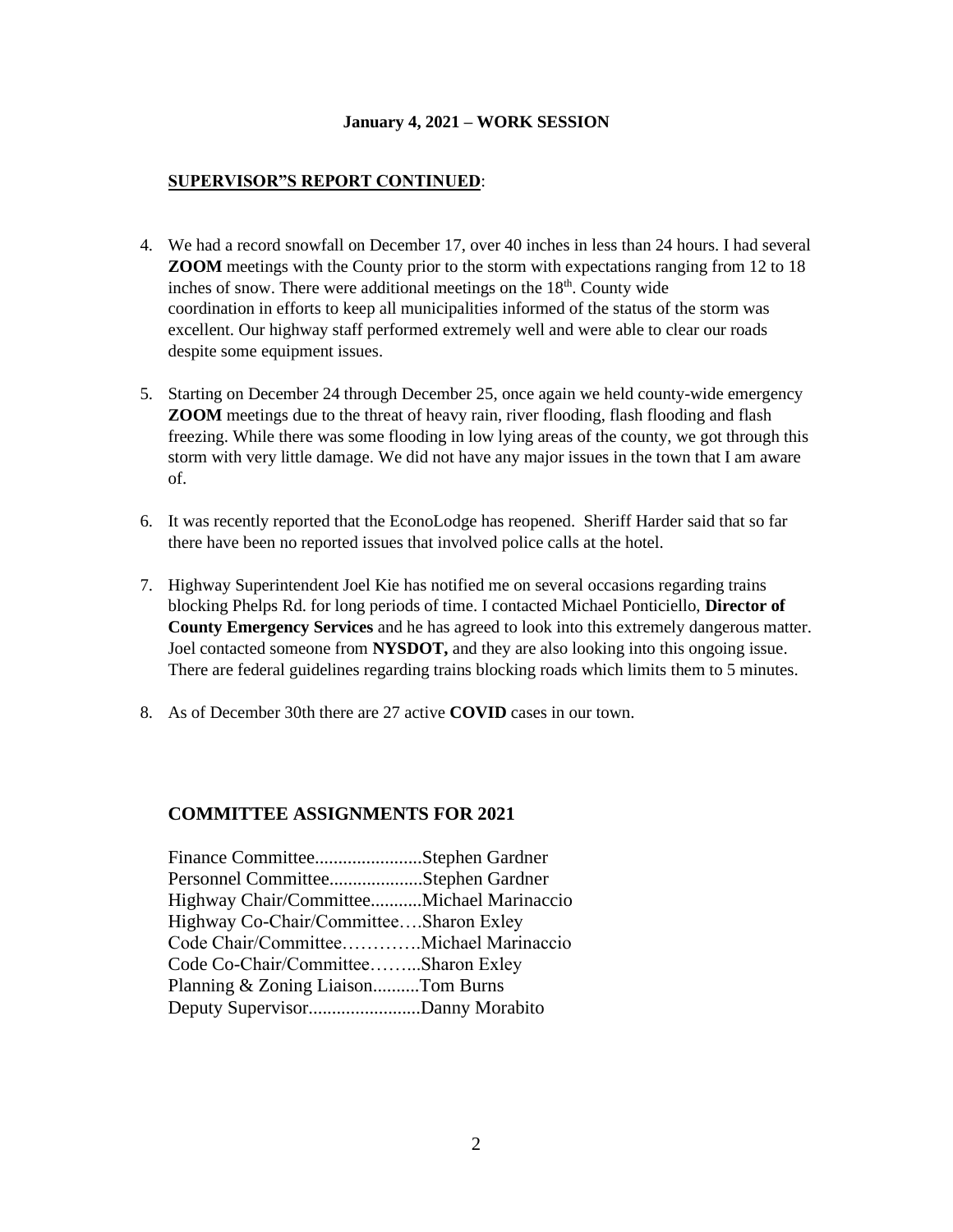#### **January 4, 2021 – WORK SESSION**

## **SUPERVISOR"S REPORT CONTINUED**:

- 4. We had a record snowfall on December 17, over 40 inches in less than 24 hours. I had several **ZOOM** meetings with the County prior to the storm with expectations ranging from 12 to 18 inches of snow. There were additional meetings on the  $18<sup>th</sup>$ . County wide coordination in efforts to keep all municipalities informed of the status of the storm was excellent. Our highway staff performed extremely well and were able to clear our roads despite some equipment issues.
- 5. Starting on December 24 through December 25, once again we held county-wide emergency **ZOOM** meetings due to the threat of heavy rain, river flooding, flash flooding and flash freezing. While there was some flooding in low lying areas of the county, we got through this storm with very little damage. We did not have any major issues in the town that I am aware of.
- 6. It was recently reported that the EconoLodge has reopened. Sheriff Harder said that so far there have been no reported issues that involved police calls at the hotel.
- 7. Highway Superintendent Joel Kie has notified me on several occasions regarding trains blocking Phelps Rd. for long periods of time. I contacted Michael Ponticiello, **Director of County Emergency Services** and he has agreed to look into this extremely dangerous matter. Joel contacted someone from **NYSDOT,** and they are also looking into this ongoing issue. There are federal guidelines regarding trains blocking roads which limits them to 5 minutes.
- 8. As of December 30th there are 27 active **COVID** cases in our town.

# **COMMITTEE ASSIGNMENTS FOR 2021**

| Finance CommitteeStephen Gardner          |  |
|-------------------------------------------|--|
| Personnel CommitteeStephen Gardner        |  |
| Highway Chair/CommitteeMichael Marinaccio |  |
| Highway Co-Chair/CommitteeSharon Exley    |  |
| Code Chair/CommitteeMichael Marinaccio    |  |
| Code Co-Chair/CommitteeSharon Exley       |  |
| Planning & Zoning LiaisonTom Burns        |  |
| Deputy SupervisorDanny Morabito           |  |